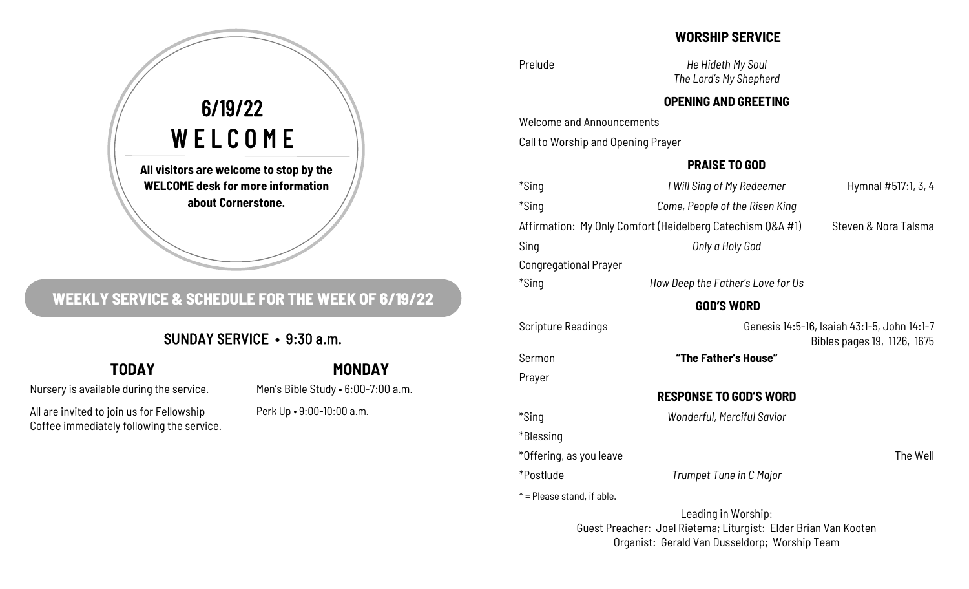## **WORSHIP SERVICE**

Prelude *He Hideth My Soul The Lord's My Shepherd* 

## **OPENING AND GREETING**

Welcome and Announcements

Call to Worship and Opening Prayer

## **PRAISE TO GOD**

| *Sing                                                      | I Will Sing of My Redeemer<br>Hymnal #517:1, 3, 4 |                      |
|------------------------------------------------------------|---------------------------------------------------|----------------------|
| *Sing                                                      | Come, People of the Risen King                    |                      |
| Affirmation: My Only Comfort (Heidelberg Catechism Q&A #1) |                                                   | Steven & Nora Talsma |
| Sing                                                       | Only a Holy God                                   |                      |
| <b>Congregational Prayer</b>                               |                                                   |                      |
| *Sing                                                      | How Deep the Father's Love for Us                 |                      |
|                                                            | <b>GOD'S WORD</b>                                 |                      |

Scripture Readings Genesis 14:5-16, Isaiah 43:1-5, John 14:1-7 Bibles pages 19, 1126, 1675

Sermon **"The Father's House"** 

Prayer

\*Blessing

## **RESPONSE TO GOD'S WORD**

\*Sing *Wonderful, Merciful Savior*

\*Offering, as you leave The Well and the Well and the Well and the Well and the Well and the Well and the Well

\*Postlude *Trumpet Tune in C Major*

 $*$  = Please stand, if able.

Leading in Worship: Guest Preacher: Joel Rietema; Liturgist: Elder Brian Van Kooten Organist: Gerald Van Dusseldorp; Worship Team

# **All visitors are welcome to stop by the WELCOME desk for more information**  6/19/22 WELCOME

**about Cornerstone.** 

## **WEEKLY SERVICE & SCHEDULE FOR THE WEEK OF 6/19/22**

## SUNDAY SERVICE • 9:30 a.m.

## **TODAY**

Nursery is available during the service.

All are invited to join us for Fellowship Coffee immediately following the service.

## **MONDAY**

Men's Bible Study • 6:00-7:00 a.m. Perk Up • 9:00-10:00 a.m.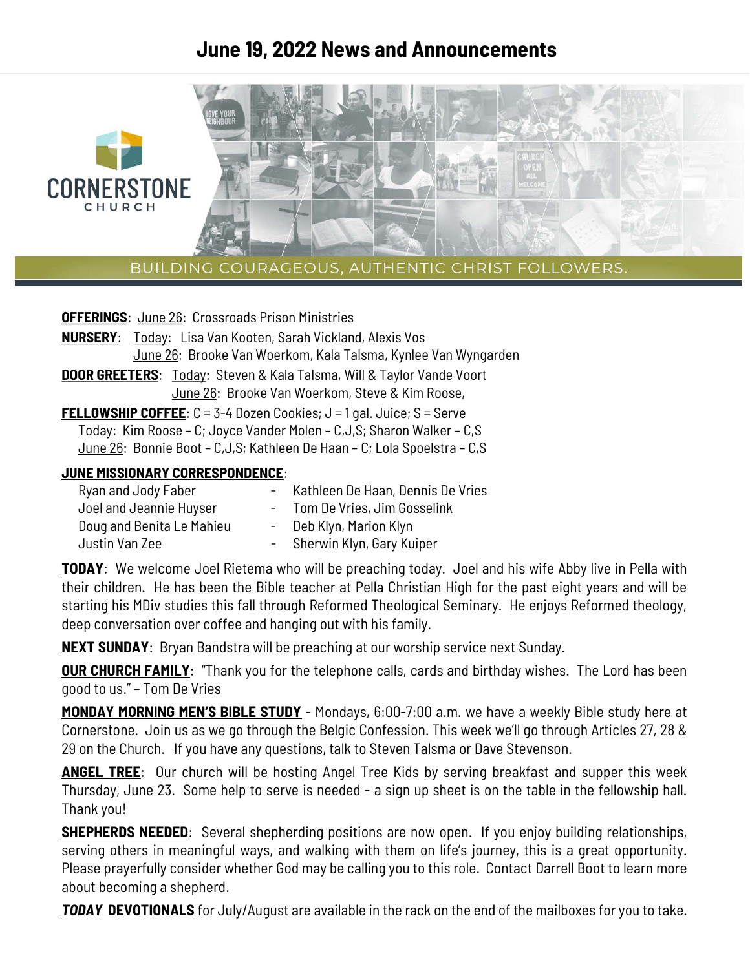## **June 19, 2022 News and Announcements**



BUILDING COURAGEOUS, AUTHENTIC CHRIST FOLLOWERS.

| <b>OFFERINGS:</b> June 26: Crossroads Prison Ministries                            |  |  |
|------------------------------------------------------------------------------------|--|--|
| <b>NURSERY:</b> Today: Lisa Van Kooten, Sarah Vickland, Alexis Vos                 |  |  |
| June 26: Brooke Van Woerkom, Kala Talsma, Kynlee Van Wyngarden                     |  |  |
| <b>DOOR GREETERS:</b> Today: Steven & Kala Talsma, Will & Taylor Vande Voort       |  |  |
| June 26: Brooke Van Woerkom, Steve & Kim Roose,                                    |  |  |
| <b>FELLOWSHIP COFFEE:</b> $C = 3-4$ Dozen Cookies; $J = 1$ gal. Juice; $S =$ Serve |  |  |
| Today: Kim Roose - C; Joyce Vander Molen - C, J, S; Sharon Walker - C, S           |  |  |
| June 26: Bonnie Boot - C, J, S; Kathleen De Haan - C; Lola Spoelstra - C, S        |  |  |
| .IIINF MISSIONARY CORRESPONDENCE:                                                  |  |  |

#### **JUNE MISSIONARY CORRESPONDENCE**:

| - Kathleen De Haan, Dennis De Vries |
|-------------------------------------|
| - Tom De Vries, Jim Gosselink       |
| - Deb Klyn, Marion Klyn             |
| - Sherwin Klyn, Gary Kuiper         |
|                                     |

**TODAY**: We welcome Joel Rietema who will be preaching today. Joel and his wife Abby live in Pella with their children. He has been the Bible teacher at Pella Christian High for the past eight years and will be starting his MDiv studies this fall through Reformed Theological Seminary. He enjoys Reformed theology, deep conversation over coffee and hanging out with his family.

**NEXT SUNDAY**: Bryan Bandstra will be preaching at our worship service next Sunday.

**OUR CHURCH FAMILY:** "Thank you for the telephone calls, cards and birthday wishes. The Lord has been good to us." – Tom De Vries

**MONDAY MORNING MEN'S BIBLE STUDY** - Mondays, 6:00-7:00 a.m. we have a weekly Bible study here at Cornerstone. Join us as we go through the Belgic Confession. This week we'll go through Articles 27, 28 & 29 on the Church. If you have any questions, talk to Steven Talsma or Dave Stevenson.

**ANGEL TREE**: Our church will be hosting Angel Tree Kids by serving breakfast and supper this week Thursday, June 23. Some help to serve is needed - a sign up sheet is on the table in the fellowship hall. Thank you!

**SHEPHERDS NEEDED**: Several shepherding positions are now open. If you enjoy building relationships, serving others in meaningful ways, and walking with them on life's journey, this is a great opportunity. Please prayerfully consider whether God may be calling you to this role. Contact Darrell Boot to learn more about becoming a shepherd.

**TODAY DEVOTIONALS** for July/August are available in the rack on the end of the mailboxes for you to take.